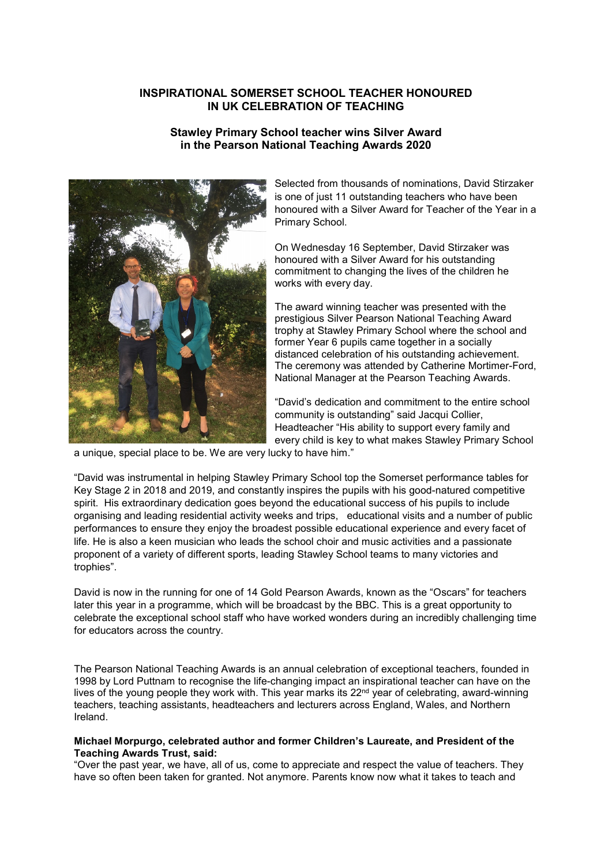# **INSPIRATIONAL SOMERSET SCHOOL TEACHER HONOURED IN UK CELEBRATION OF TEACHING**

# **Stawley Primary School teacher wins Silver Award in the Pearson National Teaching Awards 2020**



Selected from thousands of nominations, David Stirzaker is one of just 11 outstanding teachers who have been honoured with a Silver Award for Teacher of the Year in a Primary School.

On Wednesday 16 September, David Stirzaker was honoured with a Silver Award for his outstanding commitment to changing the lives of the children he works with every day.

The award winning teacher was presented with the prestigious Silver Pearson National Teaching Award trophy at Stawley Primary School where the school and former Year 6 pupils came together in a socially distanced celebration of his outstanding achievement. The ceremony was attended by Catherine Mortimer-Ford, National Manager at the Pearson Teaching Awards.

"David's dedication and commitment to the entire school community is outstanding" said Jacqui Collier, Headteacher "His ability to support every family and every child is key to what makes Stawley Primary School

a unique, special place to be. We are very lucky to have him."

"David was instrumental in helping Stawley Primary School top the Somerset performance tables for Key Stage 2 in 2018 and 2019, and constantly inspires the pupils with his good-natured competitive spirit. His extraordinary dedication goes beyond the educational success of his pupils to include organising and leading residential activity weeks and trips, educational visits and a number of public performances to ensure they enjoy the broadest possible educational experience and every facet of life. He is also a keen musician who leads the school choir and music activities and a passionate proponent of a variety of different sports, leading Stawley School teams to many victories and trophies".

David is now in the running for one of 14 Gold Pearson Awards, known as the "Oscars" for teachers later this year in a programme, which will be broadcast by the BBC. This is a great opportunity to celebrate the exceptional school staff who have worked wonders during an incredibly challenging time for educators across the country.

The Pearson National Teaching Awards is an annual celebration of exceptional teachers, founded in 1998 by Lord Puttnam to recognise the life-changing impact an inspirational teacher can have on the lives of the young people they work with. This year marks its 22nd year of celebrating, award-winning teachers, teaching assistants, headteachers and lecturers across England, Wales, and Northern Ireland.

### **Michael Morpurgo, celebrated author and former Children's Laureate, and President of the Teaching Awards Trust, said:**

"Over the past year, we have, all of us, come to appreciate and respect the value of teachers. They have so often been taken for granted. Not anymore. Parents know now what it takes to teach and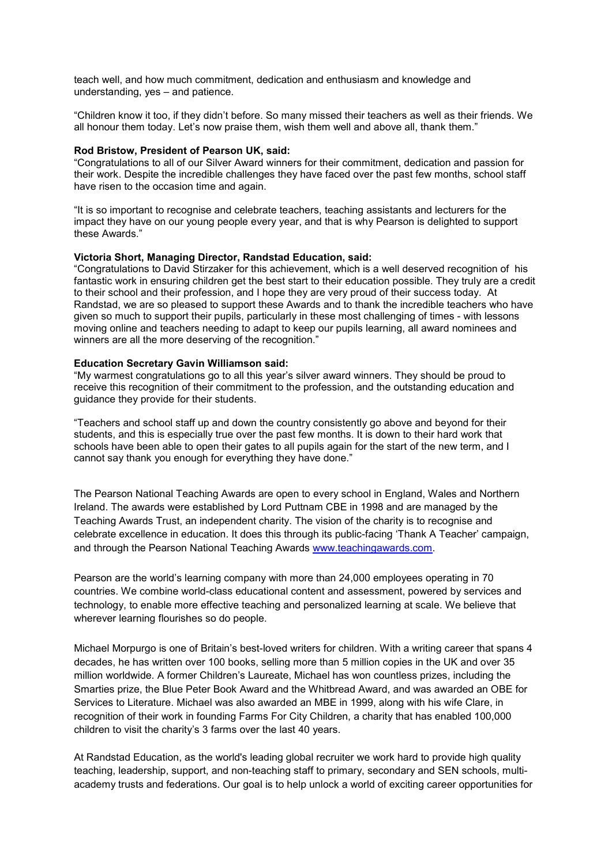teach well, and how much commitment, dedication and enthusiasm and knowledge and understanding, yes – and patience.

"Children know it too, if they didn't before. So many missed their teachers as well as their friends. We all honour them today. Let's now praise them, wish them well and above all, thank them."

#### **Rod Bristow, President of Pearson UK, said:**

"Congratulations to all of our Silver Award winners for their commitment, dedication and passion for their work. Despite the incredible challenges they have faced over the past few months, school staff have risen to the occasion time and again.

"It is so important to recognise and celebrate teachers, teaching assistants and lecturers for the impact they have on our young people every year, and that is why Pearson is delighted to support these Awards."

#### **Victoria Short, Managing Director, Randstad Education, said:**

"Congratulations to David Stirzaker for this achievement, which is a well deserved recognition of his fantastic work in ensuring children get the best start to their education possible. They truly are a credit to their school and their profession, and I hope they are very proud of their success today. At Randstad, we are so pleased to support these Awards and to thank the incredible teachers who have given so much to support their pupils, particularly in these most challenging of times - with lessons moving online and teachers needing to adapt to keep our pupils learning, all award nominees and winners are all the more deserving of the recognition."

#### **Education Secretary Gavin Williamson said:**

"My warmest congratulations go to all this year's silver award winners. They should be proud to receive this recognition of their commitment to the profession, and the outstanding education and guidance they provide for their students.

"Teachers and school staff up and down the country consistently go above and beyond for their students, and this is especially true over the past few months. It is down to their hard work that schools have been able to open their gates to all pupils again for the start of the new term, and I cannot say thank you enough for everything they have done."

The Pearson National Teaching Awards are open to every school in England, Wales and Northern Ireland. The awards were established by Lord Puttnam CBE in 1998 and are managed by the Teaching Awards Trust, an independent charity. The vision of the charity is to recognise and celebrate excellence in education. It does this through its public-facing 'Thank A Teacher' campaign, and through the Pearson National Teaching Awards [www.teachingawards.com.](http://www.teachingawards.com/)

Pearson are the world's learning company with more than 24,000 employees operating in 70 countries. We combine world-class educational content and assessment, powered by services and technology, to enable more effective teaching and personalized learning at scale. We believe that wherever learning flourishes so do people.

Michael Morpurgo is one of Britain's best-loved writers for children. With a writing career that spans 4 decades, he has written over 100 books, selling more than 5 million copies in the UK and over 35 million worldwide. A former Children's Laureate, Michael has won countless prizes, including the Smarties prize, the Blue Peter Book Award and the Whitbread Award, and was awarded an OBE for Services to Literature. Michael was also awarded an MBE in 1999, along with his wife Clare, in recognition of their work in founding Farms For City Children, a charity that has enabled 100,000 children to visit the charity's 3 farms over the last 40 years.

At Randstad Education, as the world's leading global recruiter we work hard to provide high quality teaching, leadership, support, and non-teaching staff to primary, secondary and SEN schools, multiacademy trusts and federations. Our goal is to help unlock a world of exciting career opportunities for